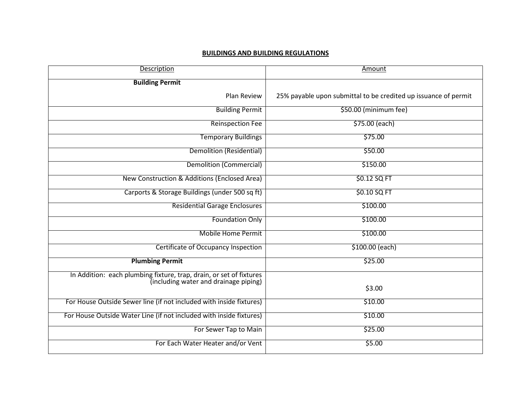## **BUILDINGS AND BUILDING REGULATIONS**

| Description                                                                                                  | Amount                                                          |
|--------------------------------------------------------------------------------------------------------------|-----------------------------------------------------------------|
| <b>Building Permit</b>                                                                                       |                                                                 |
| <b>Plan Review</b>                                                                                           | 25% payable upon submittal to be credited up issuance of permit |
| <b>Building Permit</b>                                                                                       | \$50.00 (minimum fee)                                           |
| <b>Reinspection Fee</b>                                                                                      | \$75.00 (each)                                                  |
| <b>Temporary Buildings</b>                                                                                   | \$75.00                                                         |
| <b>Demolition (Residential)</b>                                                                              | \$50.00                                                         |
| <b>Demolition (Commercial)</b>                                                                               | \$150.00                                                        |
| New Construction & Additions (Enclosed Area)                                                                 | \$0.12 SQ FT                                                    |
| Carports & Storage Buildings (under 500 sq ft)                                                               | \$0.10 SQ FT                                                    |
| <b>Residential Garage Enclosures</b>                                                                         | \$100.00                                                        |
| <b>Foundation Only</b>                                                                                       | \$100.00                                                        |
| <b>Mobile Home Permit</b>                                                                                    | \$100.00                                                        |
| <b>Certificate of Occupancy Inspection</b>                                                                   | \$100.00 (each)                                                 |
| <b>Plumbing Permit</b>                                                                                       | \$25.00                                                         |
| In Addition: each plumbing fixture, trap, drain, or set of fixtures<br>(including water and drainage piping) |                                                                 |
|                                                                                                              | \$3.00                                                          |
| For House Outside Sewer line (if not included with inside fixtures)                                          | \$10.00                                                         |
| For House Outside Water Line (if not included with inside fixtures)                                          | \$10.00                                                         |
| For Sewer Tap to Main                                                                                        | \$25.00                                                         |
| For Each Water Heater and/or Vent                                                                            | \$5.00                                                          |